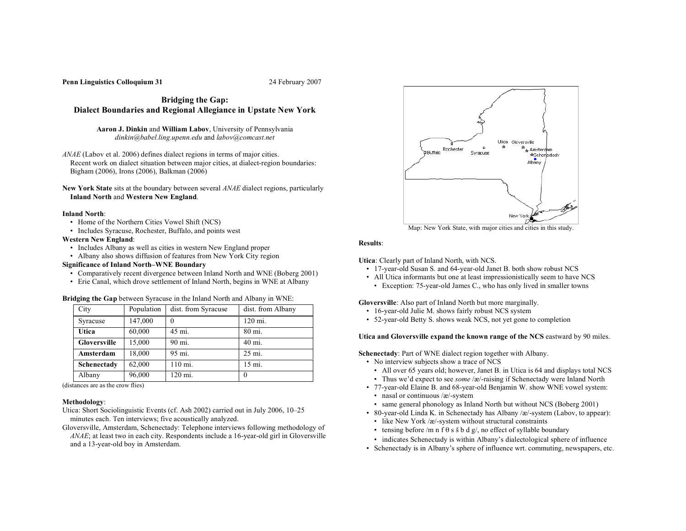### **Penn Linguistics Colloquium 31** 24 February 2007

**Bridging the Gap: Dialect Boundaries and Regional Allegiance in Upstate New York**

**Aaron J. Dinkin** and **William Labov**, University of Pennsylvania *dinkin@babel.ling.upenn.edu* and *labov@comcast.net*

- *ANAE* (Labov et al. 2006) defines dialect regions in terms of major cities. Recent work on dialect situation between major cities, at dialect-region boundaries: Bigham (2006), Irons (2006), Balkman (2006)
- **New York State** sits at the boundary between several *ANAE* dialect regions, particularly **Inland North** and **Western New England**.

#### **Inland North**:

- Home of the Northern Cities Vowel Shift (NCS)
- Includes Syracuse, Rochester, Buffalo, and points west

### **Western New England**:

- Includes Albany as well as cities in western New England proper
- Albany also shows diffusion of features from New York City region

# **Significance of Inland North–WNE Boundary**

- Comparatively recent divergence between Inland North and WNE (Boberg 2001)
- Erie Canal, which drove settlement of Inland North, begins in WNE at Albany

| <b>Bridging the Gap</b> between Syracuse in the Inland North and Albany in WNE: |  |  |
|---------------------------------------------------------------------------------|--|--|
|---------------------------------------------------------------------------------|--|--|

| City         | Population | dist. from Syracuse | dist. from Albany |
|--------------|------------|---------------------|-------------------|
| Syracuse     | 147,000    | $\theta$            | 120 mi.           |
| Utica        | 60,000     | 45 mi.              | 80 mi.            |
| Gloversville | 15,000     | 90 mi.              | 40 mi.            |
| Amsterdam    | 18,000     | 95 mi.              | 25 mi.            |
| Schenectady  | 62,000     | 110 mi.             | 15 mi.            |
| Albany       | 96,000     | 120 mi.             |                   |

(distances are as the crow flies)

# **Methodology**:

Utica: Short Sociolinguistic Events (cf. Ash 2002) carried out in July 2006, 10–25 minutes each. Ten interviews; five acoustically analyzed.

Gloversville, Amsterdam, Schenectady: Telephone interviews following methodology of *ANAE*; at least two in each city. Respondents include a 16-year-old girl in Gloversville and a 13-year-old boy in Amsterdam.



Map: New York State, with major cities and cities in this study.

#### **Results**:

**Utica**: Clearly part of Inland North, with NCS.

- 17-year-old Susan S. and 64-year-old Janet B. both show robust NCS
- All Utica informants but one at least impressionistically seem to have NCS
	- Exception: 75-year-old James C., who has only lived in smaller towns

**Gloversville**: Also part of Inland North but more marginally.

- 16-year-old Julie M. shows fairly robust NCS system
- 52-year-old Betty S. shows weak NCS, not yet gone to completion

**Utica and Gloversville expand the known range of the NCS** eastward by 90 miles.

**Schenectady**: Part of WNE dialect region together with Albany.

- No interview subjects show a trace of NCS
- All over 65 years old; however, Janet B. in Utica is 64 and displays total NCS
- Thus we'd expect to see *some* /æ/-raising if Schenectady were Inland North
- 77-year-old Elaine B. and 68-year-old Benjamin W. show WNE vowel system: • nasal or continuous /æ/-system
	- same general phonology as Inland North but without NCS (Boberg 2001)
- 80-year-old Linda K. in Schenectady has Albany /æ/-system (Labov, to appear):
	- like New York /æ/-system without structural constraints
	- tensing before /m n f  $\theta$  s  $\check{s}$  b d g/, no effect of syllable boundary
- indicates Schenectady is within Albany's dialectological sphere of influence
- Schenectady is in Albany's sphere of influence wrt. commuting, newspapers, etc.